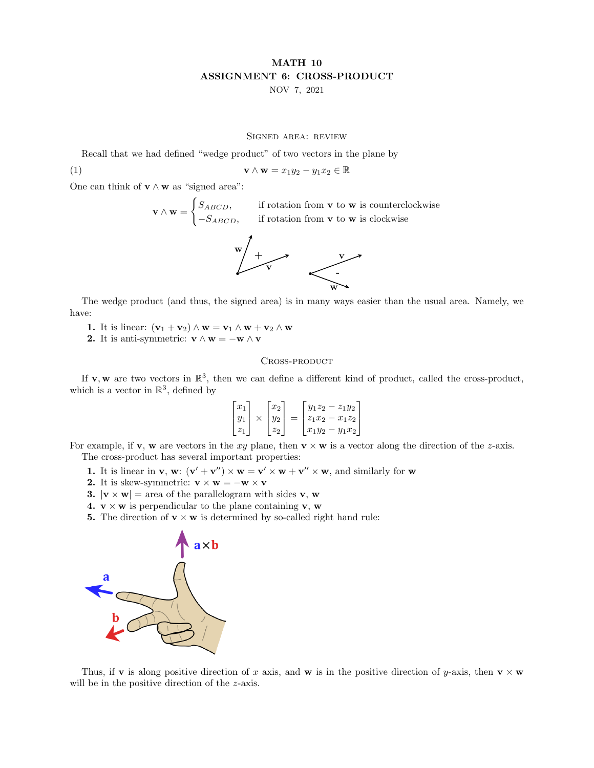## MATH 10 ASSIGNMENT 6: CROSS-PRODUCT NOV 7, 2021

## Signed area: review

Recall that we had defined "wedge product" of two vectors in the plane by

(1) 
$$
\mathbf{v} \wedge \mathbf{w} = x_1 y_2 - y_1 x_2 \in \mathbb{R}
$$

One can think of  $\mathbf{v} \wedge \mathbf{w}$  as "signed area":

 $\mathbf{v} \wedge \mathbf{w} =$  $\int S_{ABCD}$ , if rotation from **v** to **w** is counterclockwise  $-S_{ABCD}$ , if rotation from **v** to **w** is clockwise



The wedge product (and thus, the signed area) is in many ways easier than the usual area. Namely, we have:

- 1. It is linear:  $(\mathbf{v}_1 + \mathbf{v}_2) \wedge \mathbf{w} = \mathbf{v}_1 \wedge \mathbf{w} + \mathbf{v}_2 \wedge \mathbf{w}$
- 2. It is anti-symmetric:  $\mathbf{v} \wedge \mathbf{w} = -\mathbf{w} \wedge \mathbf{v}$

## CROSS-PRODUCT

If **v**, **w** are two vectors in  $\mathbb{R}^3$ , then we can define a different kind of product, called the cross-product, which is a vector in  $\mathbb{R}^3$ , defined by

$$
\begin{bmatrix} x_1 \\ y_1 \\ z_1 \end{bmatrix} \times \begin{bmatrix} x_2 \\ y_2 \\ z_2 \end{bmatrix} = \begin{bmatrix} y_1 z_2 - z_1 y_2 \\ z_1 x_2 - x_1 z_2 \\ x_1 y_2 - y_1 x_2 \end{bmatrix}
$$

For example, if **v**, **w** are vectors in the xy plane, then  $\mathbf{v} \times \mathbf{w}$  is a vector along the direction of the z-axis. The cross-product has several important properties:

- **1.** It is linear in **v**, **w**:  $(\mathbf{v}' + \mathbf{v}'') \times \mathbf{w} = \mathbf{v}' \times \mathbf{w} + \mathbf{v}'' \times \mathbf{w}$ , and similarly for **w**
- 2. It is skew-symmetric:  $\mathbf{v} \times \mathbf{w} = -\mathbf{w} \times \mathbf{v}$
- **3.**  $|\mathbf{v} \times \mathbf{w}|$  = area of the parallelogram with sides **v**, **w**
- 4.  $v \times w$  is perpendicular to the plane containing v, w
- **5.** The direction of  $\mathbf{v} \times \mathbf{w}$  is determined by so-called right hand rule:



Thus, if **v** is along positive direction of x axis, and **w** is in the positive direction of y-axis, then **v**  $\times$  **w** will be in the positive direction of the *z*-axis.